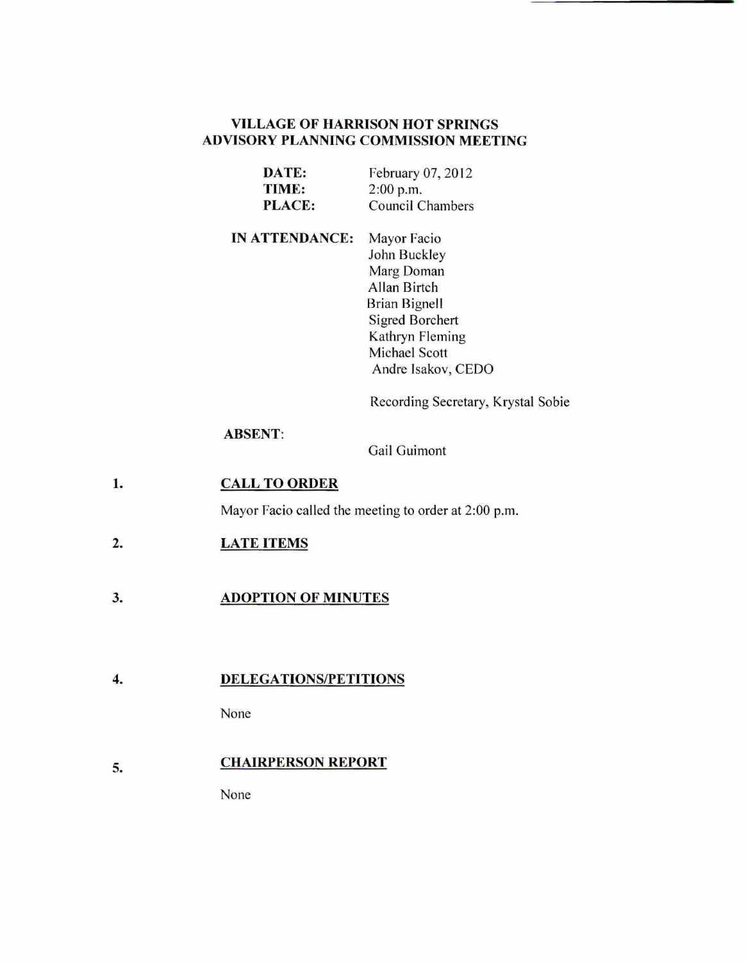# **VILLAGE OF HARRISON HOT SPRINGS ADVISORY PLANNING COMMISSION MEETING**

| DATE:         | February 07, 2012       |
|---------------|-------------------------|
| TIME:         | $2:00$ p.m.             |
| <b>PLACE:</b> | <b>Council Chambers</b> |

**IN ATTENDANCE:**  Mayor Facio John Buckley Marg Doman Allan Birtch Brian Bignell Sigred Borchert Kathryn Fleming Michael Scott Andre lsakov, CEDO

Recording Secretary, Krystal Sobie

### **ABSENT:**

Gail Guimont

### **1. CALL TO ORDER**

Mayor Facio called the meeting to order at 2:00 p.m.

### **2. LATE ITEMS**

#### 3. **ADOPTION OF MINUTES**

#### **4. DELEGATIONS/PETITIONS**

None

### 5. **CHAIRPERSON REPORT**

None